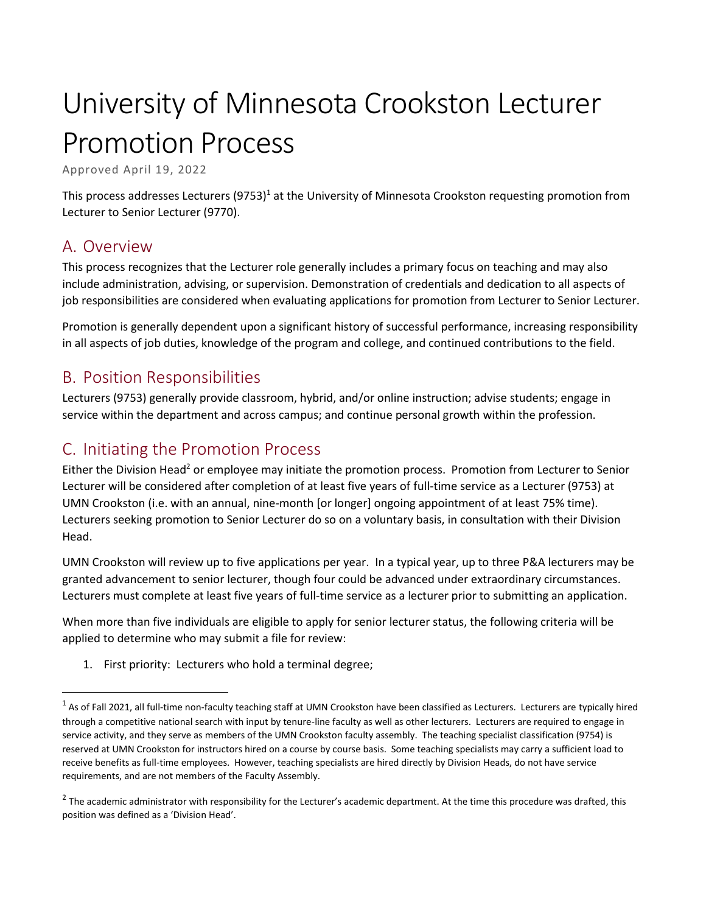# University of Minnesota Crookston Lecturer Promotion Process

Approved April 19, 2022

This process addresses Lecturers  $(9753)^1$  at the University of Minnesota Crookston requesting promotion from Lecturer to Senior Lecturer (9770).

## A. Overview

 $\overline{\phantom{a}}$ 

This process recognizes that the Lecturer role generally includes a primary focus on teaching and may also include administration, advising, or supervision. Demonstration of credentials and dedication to all aspects of job responsibilities are considered when evaluating applications for promotion from Lecturer to Senior Lecturer.

Promotion is generally dependent upon a significant history of successful performance, increasing responsibility in all aspects of job duties, knowledge of the program and college, and continued contributions to the field.

#### B. Position Responsibilities

Lecturers (9753) generally provide classroom, hybrid, and/or online instruction; advise students; engage in service within the department and across campus; and continue personal growth within the profession.

## C. Initiating the Promotion Process

Either the Division Head<sup>2</sup> or employee may initiate the promotion process. Promotion from Lecturer to Senior Lecturer will be considered after completion of at least five years of full-time service as a Lecturer (9753) at UMN Crookston (i.e. with an annual, nine-month [or longer] ongoing appointment of at least 75% time). Lecturers seeking promotion to Senior Lecturer do so on a voluntary basis, in consultation with their Division Head.

UMN Crookston will review up to five applications per year. In a typical year, up to three P&A lecturers may be granted advancement to senior lecturer, though four could be advanced under extraordinary circumstances. Lecturers must complete at least five years of full-time service as a lecturer prior to submitting an application.

When more than five individuals are eligible to apply for senior lecturer status, the following criteria will be applied to determine who may submit a file for review:

1. First priority: Lecturers who hold a terminal degree;

 $^1$  As of Fall 2021, all full-time non-faculty teaching staff at UMN Crookston have been classified as Lecturers. Lecturers are typically hired through a competitive national search with input by tenure-line faculty as well as other lecturers. Lecturers are required to engage in service activity, and they serve as members of the UMN Crookston faculty assembly. The teaching specialist classification (9754) is reserved at UMN Crookston for instructors hired on a course by course basis. Some teaching specialists may carry a sufficient load to receive benefits as full-time employees. However, teaching specialists are hired directly by Division Heads, do not have service requirements, and are not members of the Faculty Assembly.

 $^2$  The academic administrator with responsibility for the Lecturer's academic department. At the time this procedure was drafted, this position was defined as a 'Division Head'.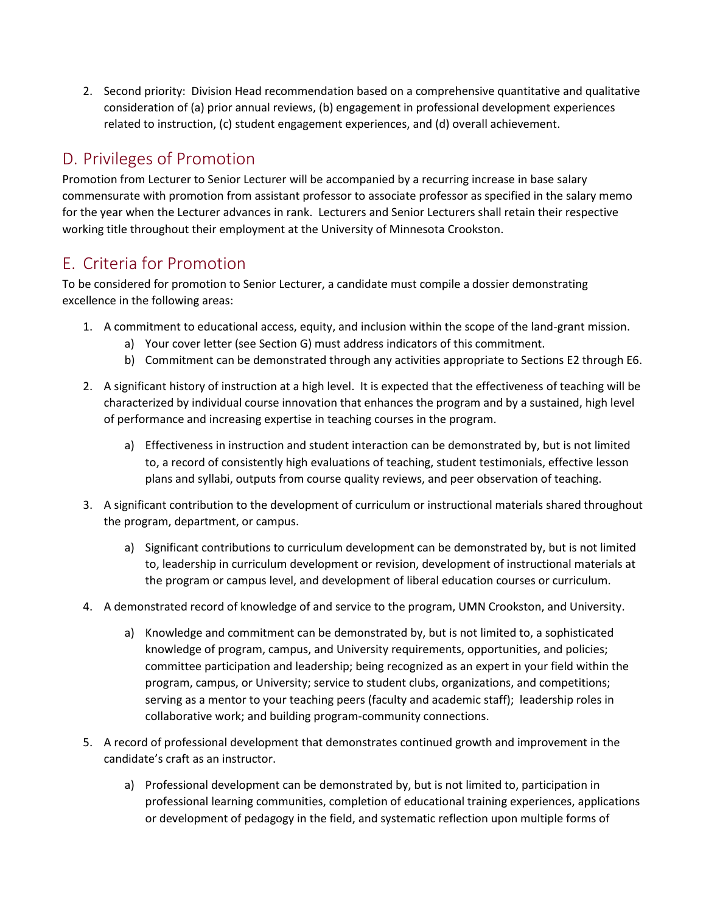2. Second priority: Division Head recommendation based on a comprehensive quantitative and qualitative consideration of (a) prior annual reviews, (b) engagement in professional development experiences related to instruction, (c) student engagement experiences, and (d) overall achievement.

# D. Privileges of Promotion

Promotion from Lecturer to Senior Lecturer will be accompanied by a recurring increase in base salary commensurate with promotion from assistant professor to associate professor as specified in the salary memo for the year when the Lecturer advances in rank. Lecturers and Senior Lecturers shall retain their respective working title throughout their employment at the University of Minnesota Crookston.

# E. Criteria for Promotion

To be considered for promotion to Senior Lecturer, a candidate must compile a dossier demonstrating excellence in the following areas:

- 1. A commitment to educational access, equity, and inclusion within the scope of the land-grant mission.
	- a) Your cover letter (see Section G) must address indicators of this commitment.
	- b) Commitment can be demonstrated through any activities appropriate to Sections E2 through E6.
- 2. A significant history of instruction at a high level. It is expected that the effectiveness of teaching will be characterized by individual course innovation that enhances the program and by a sustained, high level of performance and increasing expertise in teaching courses in the program.
	- a) Effectiveness in instruction and student interaction can be demonstrated by, but is not limited to, a record of consistently high evaluations of teaching, student testimonials, effective lesson plans and syllabi, outputs from course quality reviews, and peer observation of teaching.
- 3. A significant contribution to the development of curriculum or instructional materials shared throughout the program, department, or campus.
	- a) Significant contributions to curriculum development can be demonstrated by, but is not limited to, leadership in curriculum development or revision, development of instructional materials at the program or campus level, and development of liberal education courses or curriculum.
- 4. A demonstrated record of knowledge of and service to the program, UMN Crookston, and University.
	- a) Knowledge and commitment can be demonstrated by, but is not limited to, a sophisticated knowledge of program, campus, and University requirements, opportunities, and policies; committee participation and leadership; being recognized as an expert in your field within the program, campus, or University; service to student clubs, organizations, and competitions; serving as a mentor to your teaching peers (faculty and academic staff); leadership roles in collaborative work; and building program-community connections.
- 5. A record of professional development that demonstrates continued growth and improvement in the candidate's craft as an instructor.
	- a) Professional development can be demonstrated by, but is not limited to, participation in professional learning communities, completion of educational training experiences, applications or development of pedagogy in the field, and systematic reflection upon multiple forms of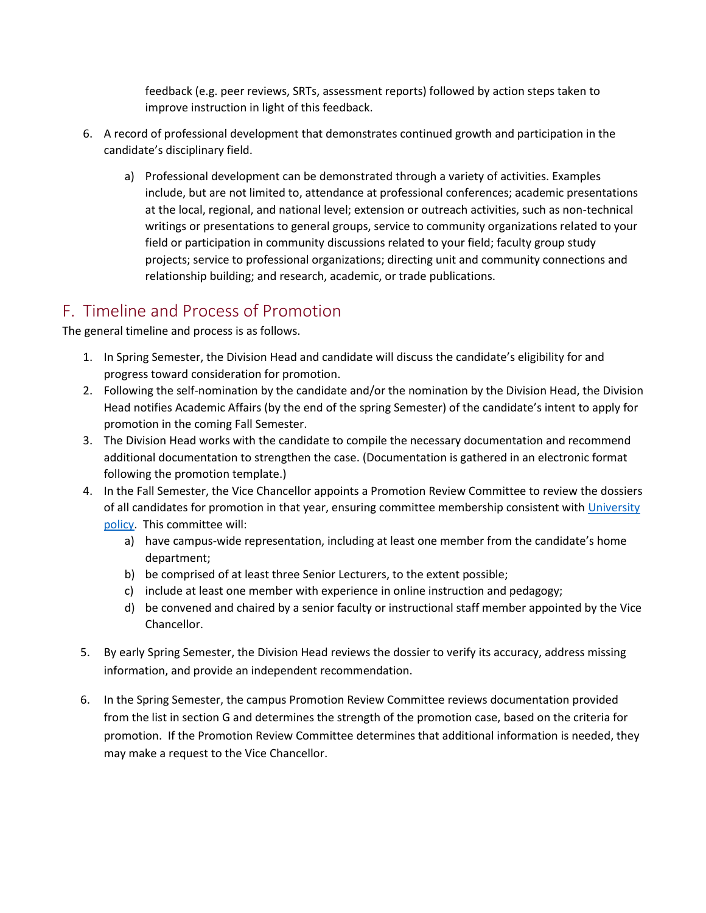feedback (e.g. peer reviews, SRTs, assessment reports) followed by action steps taken to improve instruction in light of this feedback.

- 6. A record of professional development that demonstrates continued growth and participation in the candidate's disciplinary field.
	- a) Professional development can be demonstrated through a variety of activities. Examples include, but are not limited to, attendance at professional conferences; academic presentations at the local, regional, and national level; extension or outreach activities, such as non-technical writings or presentations to general groups, service to community organizations related to your field or participation in community discussions related to your field; faculty group study projects; service to professional organizations; directing unit and community connections and relationship building; and research, academic, or trade publications.

## F. Timeline and Process of Promotion

The general timeline and process is as follows.

- 1. In Spring Semester, the Division Head and candidate will discuss the candidate's eligibility for and progress toward consideration for promotion.
- 2. Following the self-nomination by the candidate and/or the nomination by the Division Head, the Division Head notifies Academic Affairs (by the end of the spring Semester) of the candidate's intent to apply for promotion in the coming Fall Semester.
- 3. The Division Head works with the candidate to compile the necessary documentation and recommend additional documentation to strengthen the case. (Documentation is gathered in an electronic format following the promotion template.)
- 4. In the Fall Semester, the Vice Chancellor appoints a Promotion Review Committee to review the dossiers of all candidates for promotion in that year, ensuring committee membership consistent with University [policy.](https://policy.umn.edu/hr/teaching-appa) This committee will:
	- a) have campus-wide representation, including at least one member from the candidate's home department;
	- b) be comprised of at least three Senior Lecturers, to the extent possible;
	- c) include at least one member with experience in online instruction and pedagogy;
	- d) be convened and chaired by a senior faculty or instructional staff member appointed by the Vice Chancellor.
- 5. By early Spring Semester, the Division Head reviews the dossier to verify its accuracy, address missing information, and provide an independent recommendation.
- 6. In the Spring Semester, the campus Promotion Review Committee reviews documentation provided from the list in section G and determines the strength of the promotion case, based on the criteria for promotion. If the Promotion Review Committee determines that additional information is needed, they may make a request to the Vice Chancellor.